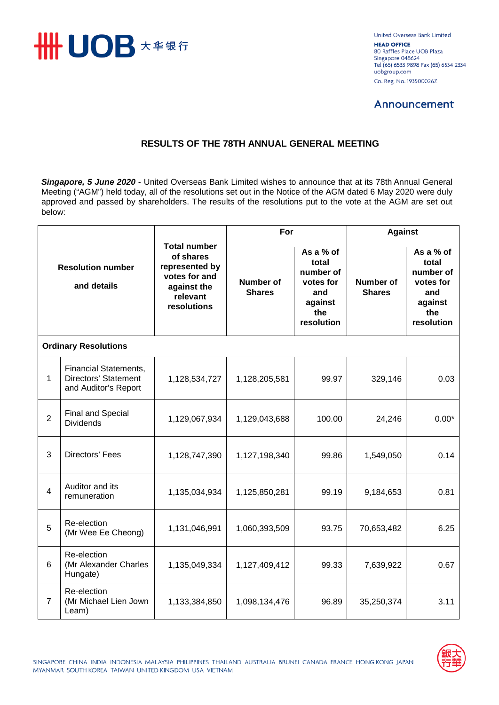

United Overseas Bank Limited **HEAD OFFICE** 80 Raffles Place UOB Plaza Singapore 048624 Tel (65) 6533 9898 Fax (65) 6534 2334 uobgroup.com Co. Reg. No. 193500026Z

## **Announcement**

## **RESULTS OF THE 78TH ANNUAL GENERAL MEETING**

*Singapore, 5 June 2020* - United Overseas Bank Limited wishes to announce that at its 78th Annual General Meeting ("AGM") held today, all of the resolutions set out in the Notice of the AGM dated 6 May 2020 were duly approved and passed by shareholders. The results of the resolutions put to the vote at the AGM are set out below:

| <b>Resolution number</b><br>and details |                                                                              | <b>Total number</b><br>of shares<br>represented by<br>votes for and<br>against the<br>relevant<br>resolutions | For                               |                                                                                     | <b>Against</b>                    |                                                                                     |  |  |  |  |  |
|-----------------------------------------|------------------------------------------------------------------------------|---------------------------------------------------------------------------------------------------------------|-----------------------------------|-------------------------------------------------------------------------------------|-----------------------------------|-------------------------------------------------------------------------------------|--|--|--|--|--|
|                                         |                                                                              |                                                                                                               | <b>Number of</b><br><b>Shares</b> | As a % of<br>total<br>number of<br>votes for<br>and<br>against<br>the<br>resolution | <b>Number of</b><br><b>Shares</b> | As a % of<br>total<br>number of<br>votes for<br>and<br>against<br>the<br>resolution |  |  |  |  |  |
| <b>Ordinary Resolutions</b>             |                                                                              |                                                                                                               |                                   |                                                                                     |                                   |                                                                                     |  |  |  |  |  |
| 1                                       | <b>Financial Statements,</b><br>Directors' Statement<br>and Auditor's Report | 1,128,534,727                                                                                                 | 1,128,205,581                     | 99.97                                                                               | 329,146                           | 0.03                                                                                |  |  |  |  |  |
| $\overline{2}$                          | <b>Final and Special</b><br><b>Dividends</b>                                 | 1,129,067,934                                                                                                 | 1,129,043,688                     | 100.00                                                                              | 24,246                            | $0.00*$                                                                             |  |  |  |  |  |
| 3                                       | Directors' Fees                                                              | 1,128,747,390                                                                                                 | 1,127,198,340                     | 99.86                                                                               | 1,549,050                         | 0.14                                                                                |  |  |  |  |  |
| $\overline{4}$                          | Auditor and its<br>remuneration                                              | 1,135,034,934                                                                                                 | 1,125,850,281                     | 99.19                                                                               | 9,184,653                         | 0.81                                                                                |  |  |  |  |  |
| 5                                       | Re-election<br>(Mr Wee Ee Cheong)                                            | 1,131,046,991                                                                                                 | 1,060,393,509                     | 93.75                                                                               | 70,653,482                        | 6.25                                                                                |  |  |  |  |  |
| 6                                       | Re-election<br>(Mr Alexander Charles<br>Hungate)                             | 1,135,049,334                                                                                                 | 1,127,409,412                     | 99.33                                                                               | 7,639,922                         | 0.67                                                                                |  |  |  |  |  |
| 7                                       | Re-election<br>(Mr Michael Lien Jown<br>Leam)                                | 1,133,384,850                                                                                                 | 1,098,134,476                     | 96.89                                                                               | 35,250,374                        | 3.11                                                                                |  |  |  |  |  |